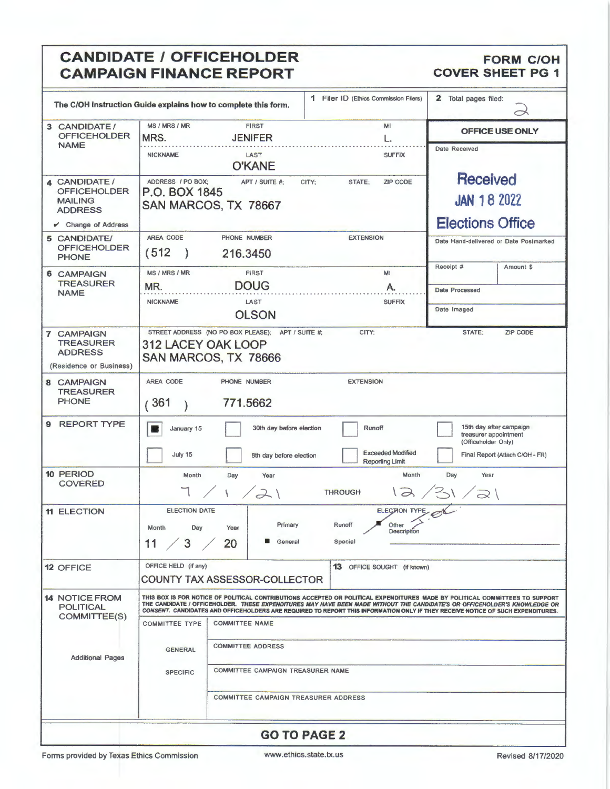## CANDIDATE / OFFICEHOLDER FORM C/OH<br>CAMPAIGN FINANCE REPORT COVER SHEET PG 1 **CAMPAIGN FINANCE REPORT**

|                                                                                      |                                                                                                                                                                                                                                                                                                                                                                                               | The C/OH Instruction Guide explains how to complete this form.                                                                                                    | 1 Filer ID (Ethics Commission Filers) | 2 Total pages filed:                                                                                       |  |  |
|--------------------------------------------------------------------------------------|-----------------------------------------------------------------------------------------------------------------------------------------------------------------------------------------------------------------------------------------------------------------------------------------------------------------------------------------------------------------------------------------------|-------------------------------------------------------------------------------------------------------------------------------------------------------------------|---------------------------------------|------------------------------------------------------------------------------------------------------------|--|--|
| 3 CANDIDATE/<br><b>OFFICEHOLDER</b><br><b>NAME</b>                                   | MS / MRS / MR<br>MRS.                                                                                                                                                                                                                                                                                                                                                                         | <b>FIRST</b><br><b>JENIFER</b>                                                                                                                                    | MI<br>L.                              | OFFICE USE ONLY                                                                                            |  |  |
|                                                                                      | <b>NICKNAME</b>                                                                                                                                                                                                                                                                                                                                                                               | LAST<br><b>O'KANE</b>                                                                                                                                             | <b>SUFFIX</b>                         | <b>Date Received</b>                                                                                       |  |  |
| 4 CANDIDATE /<br><b>OFFICEHOLDER</b><br><b>MAILING</b><br><b>ADDRESS</b>             | ADDRESS / PO BOX;<br>P.O. BOX 1845                                                                                                                                                                                                                                                                                                                                                            | APT / SUITE #;<br>SAN MARCOS, TX 78667                                                                                                                            | <b>ZIP CODE</b><br>CITY:<br>STATE;    | <b>Received</b><br><b>JAN 18 2022</b>                                                                      |  |  |
| Change of Address                                                                    |                                                                                                                                                                                                                                                                                                                                                                                               |                                                                                                                                                                   |                                       | <b>Elections Office</b>                                                                                    |  |  |
| 5 CANDIDATE/<br><b>OFFICEHOLDER</b><br><b>PHONE</b>                                  | AREA CODE<br>(512)                                                                                                                                                                                                                                                                                                                                                                            | PHONE NUMBER<br>216.3450                                                                                                                                          | <b>EXTENSION</b>                      | Date Hand-delivered or Date Postmarked                                                                     |  |  |
| <b>6 CAMPAIGN</b><br><b>TREASURER</b><br><b>NAME</b>                                 | MS / MRS / MR                                                                                                                                                                                                                                                                                                                                                                                 | <b>FIRST</b>                                                                                                                                                      | MI                                    | Receipt #<br>Amount \$                                                                                     |  |  |
|                                                                                      | MR.                                                                                                                                                                                                                                                                                                                                                                                           | <b>DOUG</b>                                                                                                                                                       | А.                                    | Date Processed                                                                                             |  |  |
|                                                                                      | <b>NICKNAME</b>                                                                                                                                                                                                                                                                                                                                                                               | LAST<br><b>OLSON</b>                                                                                                                                              | <b>SUFFIX</b>                         | Date Imaged                                                                                                |  |  |
| <b>7 CAMPAIGN</b><br><b>TREASURER</b><br><b>ADDRESS</b><br>(Residence or Business)   | STREET ADDRESS (NO PO BOX PLEASE); APT / SUITE #;<br>CITY:<br>STATE:<br><b>ZIP CODE</b><br><b>312 LACEY OAK LOOP</b><br>SAN MARCOS, TX 78666                                                                                                                                                                                                                                                  |                                                                                                                                                                   |                                       |                                                                                                            |  |  |
| 8 CAMPAIGN<br><b>TREASURER</b><br><b>PHONE</b>                                       | AREA CODE<br>(361                                                                                                                                                                                                                                                                                                                                                                             | PHONE NUMBER<br>771.5662                                                                                                                                          | <b>EXTENSION</b>                      |                                                                                                            |  |  |
| <b>REPORT TYPE</b><br>9                                                              | January 15<br>July 15                                                                                                                                                                                                                                                                                                                                                                         | 30th day before election                                                                                                                                          | Runoff<br><b>Exceeded Modified</b>    | 15th day after campaign<br>treasurer appointment<br>(Officeholder Only)<br>Final Report (Attach C/OH - FR) |  |  |
| <b>10 PERIOD</b><br><b>COVERED</b>                                                   | Month                                                                                                                                                                                                                                                                                                                                                                                         | 8th day before election<br><b>Reporting Limit</b><br>Month<br>Year<br>Day<br>Day<br>Year<br>$\left( \frac{2}{2} \right)$<br>31/21<br><b>THROUGH</b><br>$\sqrt{2}$ |                                       |                                                                                                            |  |  |
| <b>11 ELECTION</b>                                                                   | <b>ELECTION TYPE</b><br><b>ELECTION DATE</b><br>Primary<br>Runoff<br>Other<br>Day<br>Year<br>Month<br>Description<br>11 / 3 /<br>20<br>General<br>Special                                                                                                                                                                                                                                     |                                                                                                                                                                   |                                       |                                                                                                            |  |  |
| <b>12 OFFICE</b>                                                                     | OFFICE HELD (if any)<br>13 OFFICE SOUGHT (if known)<br>COUNTY TAX ASSESSOR-COLLECTOR                                                                                                                                                                                                                                                                                                          |                                                                                                                                                                   |                                       |                                                                                                            |  |  |
| <b>14 NOTICE FROM</b><br><b>POLITICAL</b><br>COMMITTEE(S)<br><b>Additional Pages</b> | THIS BOX IS FOR NOTICE OF POLITICAL CONTRIBUTIONS ACCEPTED OR POLITICAL EXPENDITURES MADE BY POLITICAL COMMITTEES TO SUPPORT<br>THE CANDIDATE / OFFICEHOLDER. THESE EXPENDITURES MAY HAVE BEEN MADE WITHOUT THE CANDIDATE'S OR OFFICEHOLDER'S KNOWLEDGE OR<br>CONSENT. CANDIDATES AND OFFICEHOLDERS ARE REQUIRED TO REPORT THIS INFORMATION ONLY IF THEY RECEIVE NOTICE OF SUCH EXPENDITURES. |                                                                                                                                                                   |                                       |                                                                                                            |  |  |
|                                                                                      | <b>COMMITTEE NAME</b><br><b>COMMITTEE TYPE</b>                                                                                                                                                                                                                                                                                                                                                |                                                                                                                                                                   |                                       |                                                                                                            |  |  |
|                                                                                      | <b>COMMITTEE ADDRESS</b><br><b>GENERAL</b>                                                                                                                                                                                                                                                                                                                                                    |                                                                                                                                                                   |                                       |                                                                                                            |  |  |
|                                                                                      | <b>COMMITTEE CAMPAIGN TREASURER NAME</b><br><b>SPECIFIC</b>                                                                                                                                                                                                                                                                                                                                   |                                                                                                                                                                   |                                       |                                                                                                            |  |  |
|                                                                                      |                                                                                                                                                                                                                                                                                                                                                                                               | <b>COMMITTEE CAMPAIGN TREASURER ADDRESS</b>                                                                                                                       |                                       |                                                                                                            |  |  |
| <b>GO TO PAGE 2</b>                                                                  |                                                                                                                                                                                                                                                                                                                                                                                               |                                                                                                                                                                   |                                       |                                                                                                            |  |  |